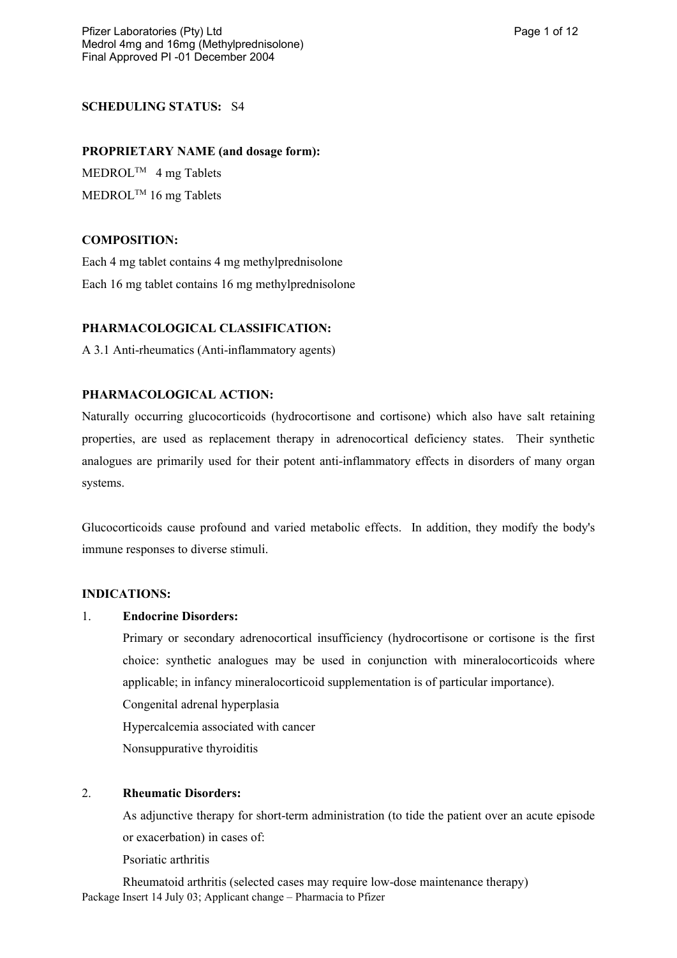# **SCHEDULING STATUS:** S4

#### **PROPRIETARY NAME (and dosage form):**

MEDROLTM 4 mg Tablets MEDROL<sup>™</sup> 16 mg Tablets

### **COMPOSITION:**

Each 4 mg tablet contains 4 mg methylprednisolone Each 16 mg tablet contains 16 mg methylprednisolone

#### **PHARMACOLOGICAL CLASSIFICATION:**

A 3.1 Anti-rheumatics (Anti-inflammatory agents)

### **PHARMACOLOGICAL ACTION:**

Naturally occurring glucocorticoids (hydrocortisone and cortisone) which also have salt retaining properties, are used as replacement therapy in adrenocortical deficiency states. Their synthetic analogues are primarily used for their potent anti-inflammatory effects in disorders of many organ systems.

Glucocorticoids cause profound and varied metabolic effects. In addition, they modify the body's immune responses to diverse stimuli.

#### **INDICATIONS:**

#### 1. **Endocrine Disorders:**

Primary or secondary adrenocortical insufficiency (hydrocortisone or cortisone is the first choice: synthetic analogues may be used in conjunction with mineralocorticoids where applicable; in infancy mineralocorticoid supplementation is of particular importance).

Congenital adrenal hyperplasia

Hypercalcemia associated with cancer

Nonsuppurative thyroiditis

### 2. **Rheumatic Disorders:**

As adjunctive therapy for short-term administration (to tide the patient over an acute episode or exacerbation) in cases of:

Psoriatic arthritis

Package Insert 14 July 03; Applicant change – Pharmacia to Pfizer Rheumatoid arthritis (selected cases may require low-dose maintenance therapy)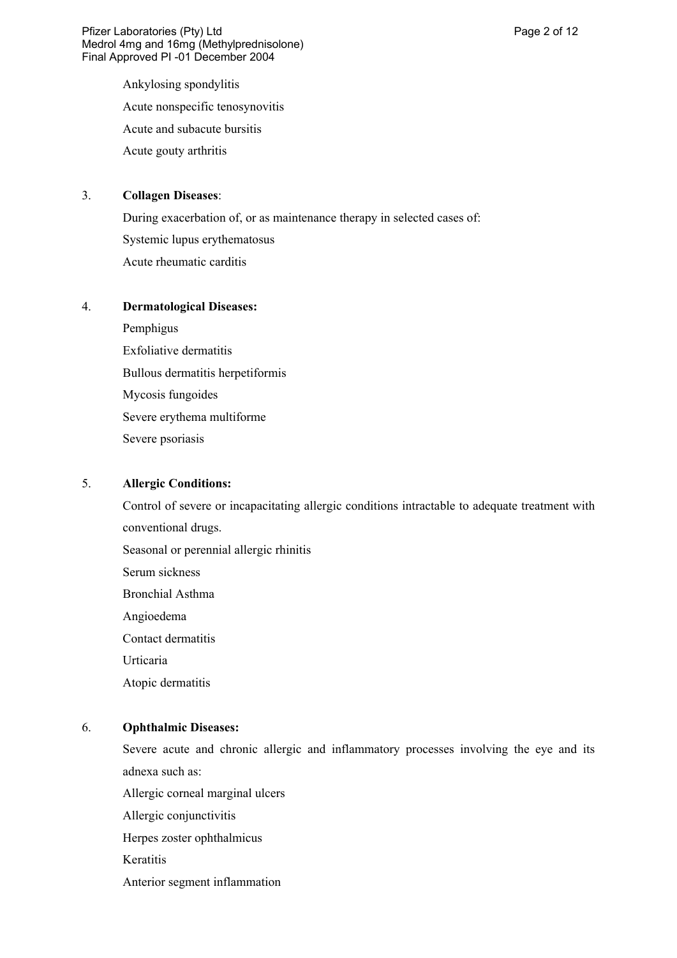Ankylosing spondylitis Acute nonspecific tenosynovitis Acute and subacute bursitis

Acute gouty arthritis

### 3. **Collagen Diseases**:

During exacerbation of, or as maintenance therapy in selected cases of: Systemic lupus erythematosus Acute rheumatic carditis

### 4. **Dermatological Diseases:**

Pemphigus Exfoliative dermatitis Bullous dermatitis herpetiformis Mycosis fungoides Severe erythema multiforme Severe psoriasis

### 5. **Allergic Conditions:**

Control of severe or incapacitating allergic conditions intractable to adequate treatment with conventional drugs. Seasonal or perennial allergic rhinitis Serum sickness

Bronchial Asthma

Angioedema

Contact dermatitis

Urticaria

Atopic dermatitis

# 6. **Ophthalmic Diseases:**

Severe acute and chronic allergic and inflammatory processes involving the eye and its adnexa such as:

Allergic corneal marginal ulcers

Allergic conjunctivitis

Herpes zoster ophthalmicus

**Keratitis** 

Anterior segment inflammation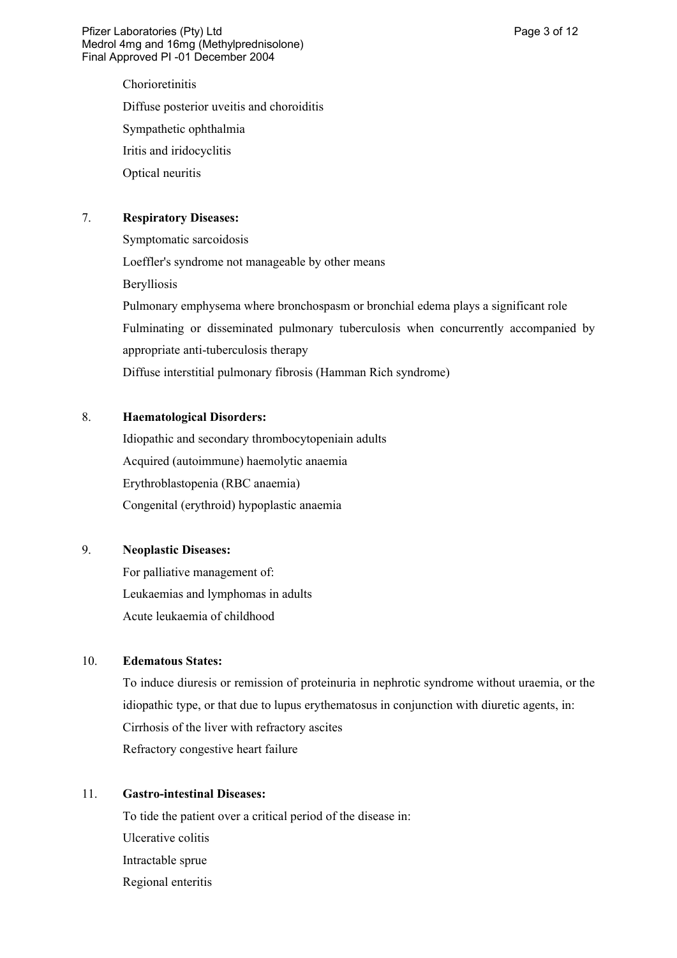Chorioretinitis Diffuse posterior uveitis and choroiditis Sympathetic ophthalmia Iritis and iridocyclitis Optical neuritis

# 7. **Respiratory Diseases:**

Symptomatic sarcoidosis Loeffler's syndrome not manageable by other means Berylliosis Pulmonary emphysema where bronchospasm or bronchial edema plays a significant role Fulminating or disseminated pulmonary tuberculosis when concurrently accompanied by appropriate anti-tuberculosis therapy Diffuse interstitial pulmonary fibrosis (Hamman Rich syndrome)

# 8. **Haematological Disorders:**

Idiopathic and secondary thrombocytopeniain adults Acquired (autoimmune) haemolytic anaemia Erythroblastopenia (RBC anaemia) Congenital (erythroid) hypoplastic anaemia

# 9. **Neoplastic Diseases:**

For palliative management of: Leukaemias and lymphomas in adults Acute leukaemia of childhood

### 10. **Edematous States:**

To induce diuresis or remission of proteinuria in nephrotic syndrome without uraemia, or the idiopathic type, or that due to lupus erythematosus in conjunction with diuretic agents, in: Cirrhosis of the liver with refractory ascites Refractory congestive heart failure

#### 11. **Gastro-intestinal Diseases:**

To tide the patient over a critical period of the disease in: Ulcerative colitis Intractable sprue Regional enteritis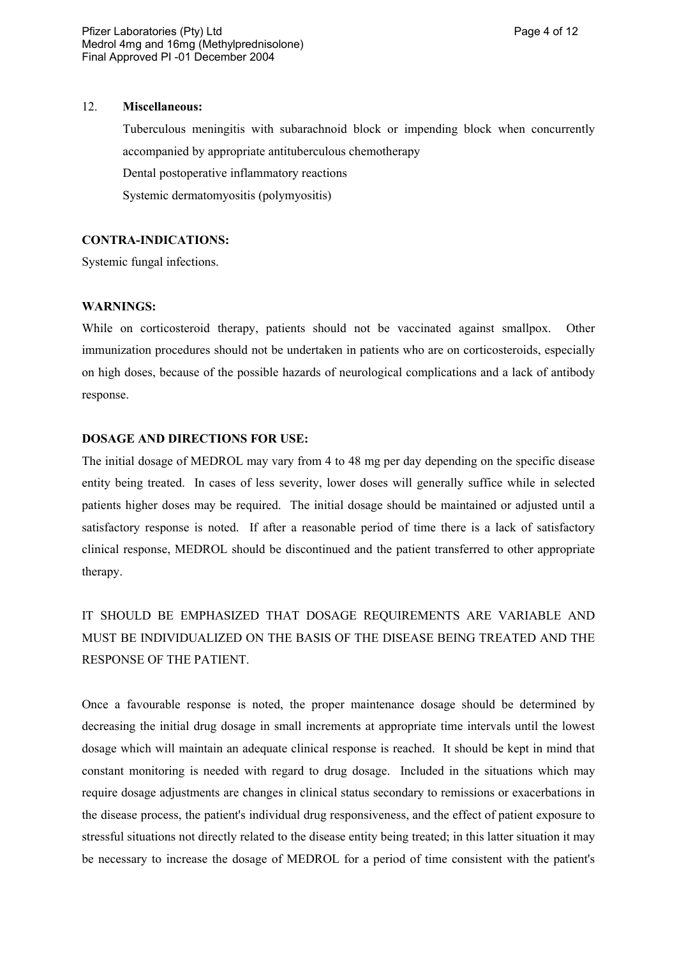Tuberculous meningitis with subarachnoid block or impending block when concurrently accompanied by appropriate antituberculous chemotherapy Dental postoperative inflammatory reactions Systemic dermatomyositis (polymyositis)

#### **CONTRA-INDICATIONS:**

Systemic fungal infections.

#### **WARNINGS:**

While on corticosteroid therapy, patients should not be vaccinated against smallpox. Other immunization procedures should not be undertaken in patients who are on corticosteroids, especially on high doses, because of the possible hazards of neurological complications and a lack of antibody response.

# **DOSAGE AND DIRECTIONS FOR USE:**

The initial dosage of MEDROL may vary from 4 to 48 mg per day depending on the specific disease entity being treated. In cases of less severity, lower doses will generally suffice while in selected patients higher doses may be required. The initial dosage should be maintained or adjusted until a satisfactory response is noted. If after a reasonable period of time there is a lack of satisfactory clinical response, MEDROL should be discontinued and the patient transferred to other appropriate therapy.

IT SHOULD BE EMPHASIZED THAT DOSAGE REQUIREMENTS ARE VARIABLE AND MUST BE INDIVIDUALIZED ON THE BASIS OF THE DISEASE BEING TREATED AND THE RESPONSE OF THE PATIENT.

Once a favourable response is noted, the proper maintenance dosage should be determined by decreasing the initial drug dosage in small increments at appropriate time intervals until the lowest dosage which will maintain an adequate clinical response is reached. It should be kept in mind that constant monitoring is needed with regard to drug dosage. Included in the situations which may require dosage adjustments are changes in clinical status secondary to remissions or exacerbations in the disease process, the patient's individual drug responsiveness, and the effect of patient exposure to stressful situations not directly related to the disease entity being treated; in this latter situation it may be necessary to increase the dosage of MEDROL for a period of time consistent with the patient's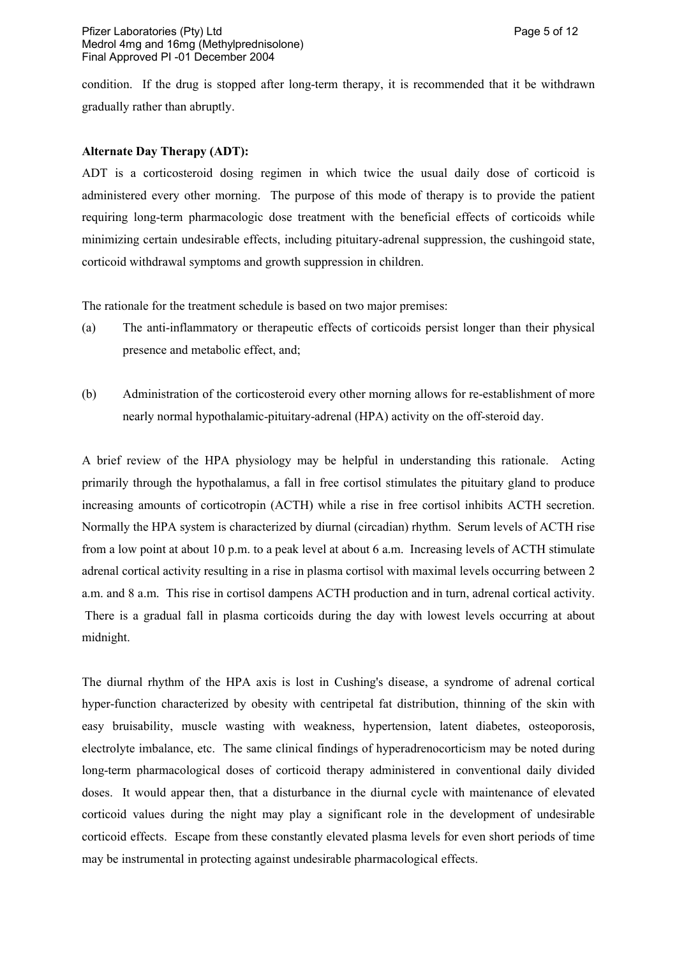condition. If the drug is stopped after long-term therapy, it is recommended that it be withdrawn gradually rather than abruptly.

#### **Alternate Day Therapy (ADT):**

ADT is a corticosteroid dosing regimen in which twice the usual daily dose of corticoid is administered every other morning. The purpose of this mode of therapy is to provide the patient requiring long-term pharmacologic dose treatment with the beneficial effects of corticoids while minimizing certain undesirable effects, including pituitary-adrenal suppression, the cushingoid state, corticoid withdrawal symptoms and growth suppression in children.

The rationale for the treatment schedule is based on two major premises:

- (a) The anti-inflammatory or therapeutic effects of corticoids persist longer than their physical presence and metabolic effect, and;
- (b) Administration of the corticosteroid every other morning allows for re-establishment of more nearly normal hypothalamic-pituitary-adrenal (HPA) activity on the off-steroid day.

A brief review of the HPA physiology may be helpful in understanding this rationale. Acting primarily through the hypothalamus, a fall in free cortisol stimulates the pituitary gland to produce increasing amounts of corticotropin (ACTH) while a rise in free cortisol inhibits ACTH secretion. Normally the HPA system is characterized by diurnal (circadian) rhythm. Serum levels of ACTH rise from a low point at about 10 p.m. to a peak level at about 6 a.m. Increasing levels of ACTH stimulate adrenal cortical activity resulting in a rise in plasma cortisol with maximal levels occurring between 2 a.m. and 8 a.m. This rise in cortisol dampens ACTH production and in turn, adrenal cortical activity. There is a gradual fall in plasma corticoids during the day with lowest levels occurring at about midnight.

The diurnal rhythm of the HPA axis is lost in Cushing's disease, a syndrome of adrenal cortical hyper-function characterized by obesity with centripetal fat distribution, thinning of the skin with easy bruisability, muscle wasting with weakness, hypertension, latent diabetes, osteoporosis, electrolyte imbalance, etc. The same clinical findings of hyperadrenocorticism may be noted during long-term pharmacological doses of corticoid therapy administered in conventional daily divided doses. It would appear then, that a disturbance in the diurnal cycle with maintenance of elevated corticoid values during the night may play a significant role in the development of undesirable corticoid effects. Escape from these constantly elevated plasma levels for even short periods of time may be instrumental in protecting against undesirable pharmacological effects.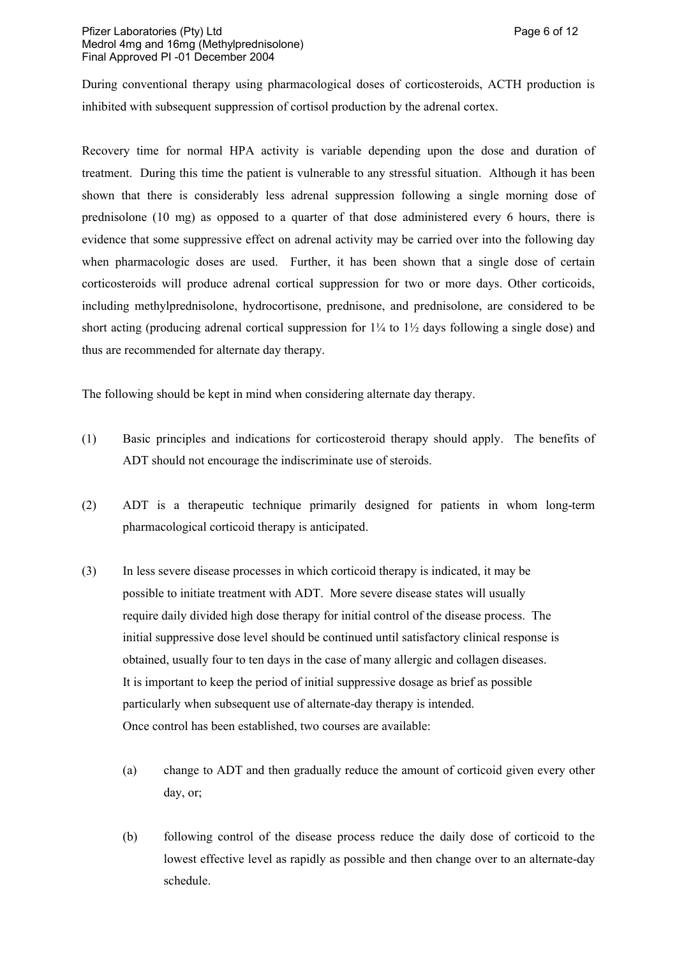During conventional therapy using pharmacological doses of corticosteroids, ACTH production is inhibited with subsequent suppression of cortisol production by the adrenal cortex.

Recovery time for normal HPA activity is variable depending upon the dose and duration of treatment. During this time the patient is vulnerable to any stressful situation. Although it has been shown that there is considerably less adrenal suppression following a single morning dose of prednisolone (10 mg) as opposed to a quarter of that dose administered every 6 hours, there is evidence that some suppressive effect on adrenal activity may be carried over into the following day when pharmacologic doses are used. Further, it has been shown that a single dose of certain corticosteroids will produce adrenal cortical suppression for two or more days. Other corticoids, including methylprednisolone, hydrocortisone, prednisone, and prednisolone, are considered to be short acting (producing adrenal cortical suppression for  $1\frac{1}{4}$  to  $1\frac{1}{2}$  days following a single dose) and thus are recommended for alternate day therapy.

The following should be kept in mind when considering alternate day therapy.

- (1) Basic principles and indications for corticosteroid therapy should apply. The benefits of ADT should not encourage the indiscriminate use of steroids.
- (2) ADT is a therapeutic technique primarily designed for patients in whom long-term pharmacological corticoid therapy is anticipated.
- (3) In less severe disease processes in which corticoid therapy is indicated, it may be possible to initiate treatment with ADT. More severe disease states will usually require daily divided high dose therapy for initial control of the disease process. The initial suppressive dose level should be continued until satisfactory clinical response is obtained, usually four to ten days in the case of many allergic and collagen diseases. It is important to keep the period of initial suppressive dosage as brief as possible particularly when subsequent use of alternate-day therapy is intended. Once control has been established, two courses are available:
	- (a) change to ADT and then gradually reduce the amount of corticoid given every other day, or;
	- (b) following control of the disease process reduce the daily dose of corticoid to the lowest effective level as rapidly as possible and then change over to an alternate-day schedule.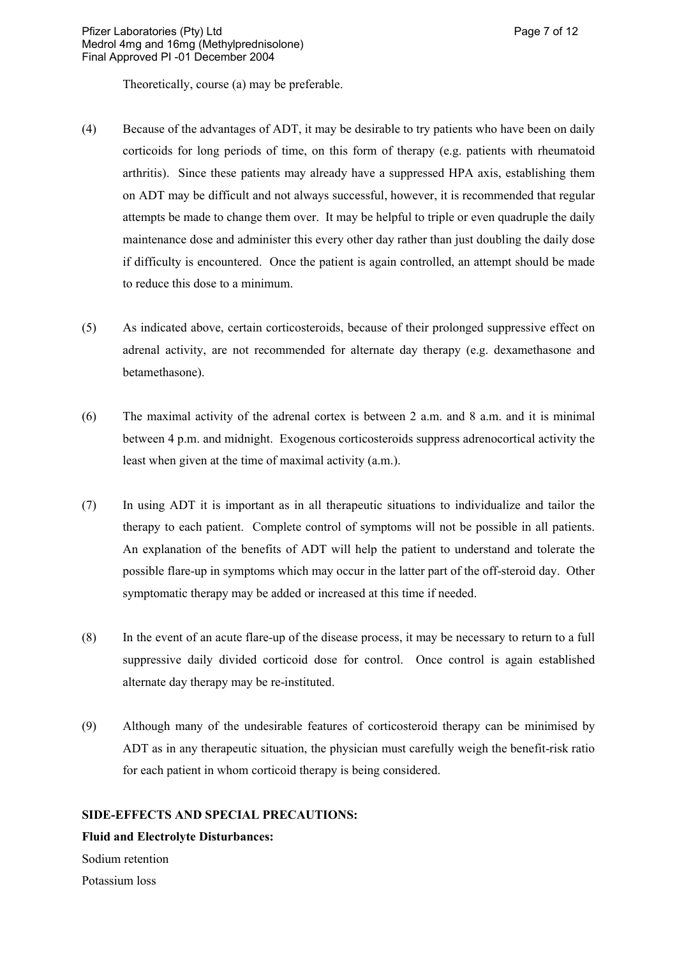Theoretically, course (a) may be preferable.

- (4) Because of the advantages of ADT, it may be desirable to try patients who have been on daily corticoids for long periods of time, on this form of therapy (e.g. patients with rheumatoid arthritis). Since these patients may already have a suppressed HPA axis, establishing them on ADT may be difficult and not always successful, however, it is recommended that regular attempts be made to change them over. It may be helpful to triple or even quadruple the daily maintenance dose and administer this every other day rather than just doubling the daily dose if difficulty is encountered. Once the patient is again controlled, an attempt should be made to reduce this dose to a minimum.
- (5) As indicated above, certain corticosteroids, because of their prolonged suppressive effect on adrenal activity, are not recommended for alternate day therapy (e.g. dexamethasone and betamethasone).
- (6) The maximal activity of the adrenal cortex is between 2 a.m. and 8 a.m. and it is minimal between 4 p.m. and midnight. Exogenous corticosteroids suppress adrenocortical activity the least when given at the time of maximal activity (a.m.).
- (7) In using ADT it is important as in all therapeutic situations to individualize and tailor the therapy to each patient. Complete control of symptoms will not be possible in all patients. An explanation of the benefits of ADT will help the patient to understand and tolerate the possible flare-up in symptoms which may occur in the latter part of the off-steroid day. Other symptomatic therapy may be added or increased at this time if needed.
- (8) In the event of an acute flare-up of the disease process, it may be necessary to return to a full suppressive daily divided corticoid dose for control. Once control is again established alternate day therapy may be re-instituted.
- (9) Although many of the undesirable features of corticosteroid therapy can be minimised by ADT as in any therapeutic situation, the physician must carefully weigh the benefit-risk ratio for each patient in whom corticoid therapy is being considered.

#### **SIDE-EFFECTS AND SPECIAL PRECAUTIONS:**

#### **Fluid and Electrolyte Disturbances:**

Sodium retention

Potassium loss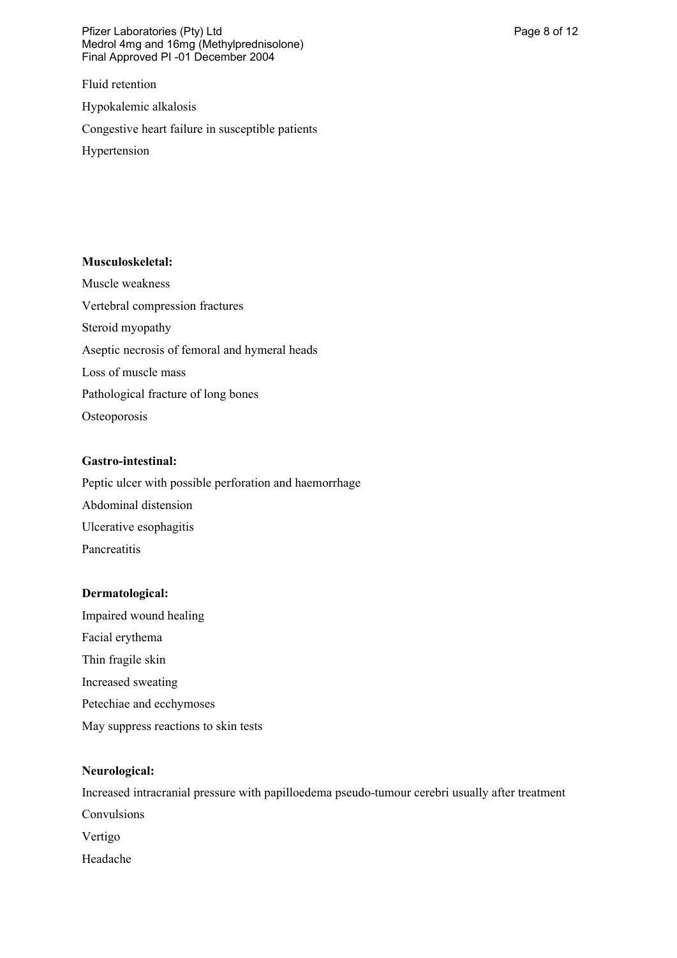Pfizer Laboratories (Pty) Ltd **Philosopheratories** (Pty) Ltd **Page 8 of 12** Medrol 4mg and 16mg (Methylprednisolone) Final Approved PI -01 December 2004

Fluid retention

Hypokalemic alkalosis

Congestive heart failure in susceptible patients

Hypertension

### **Musculoskeletal:**

Muscle weakness Vertebral compression fractures Steroid myopathy Aseptic necrosis of femoral and hymeral heads Loss of muscle mass Pathological fracture of long bones **Osteoporosis** 

# **Gastro-intestinal:**

Peptic ulcer with possible perforation and haemorrhage Abdominal distension Ulcerative esophagitis Pancreatitis

# **Dermatological:**

Impaired wound healing Facial erythema Thin fragile skin Increased sweating Petechiae and ecchymoses May suppress reactions to skin tests

# **Neurological:**

Increased intracranial pressure with papilloedema pseudo-tumour cerebri usually after treatment Convulsions Vertigo Headache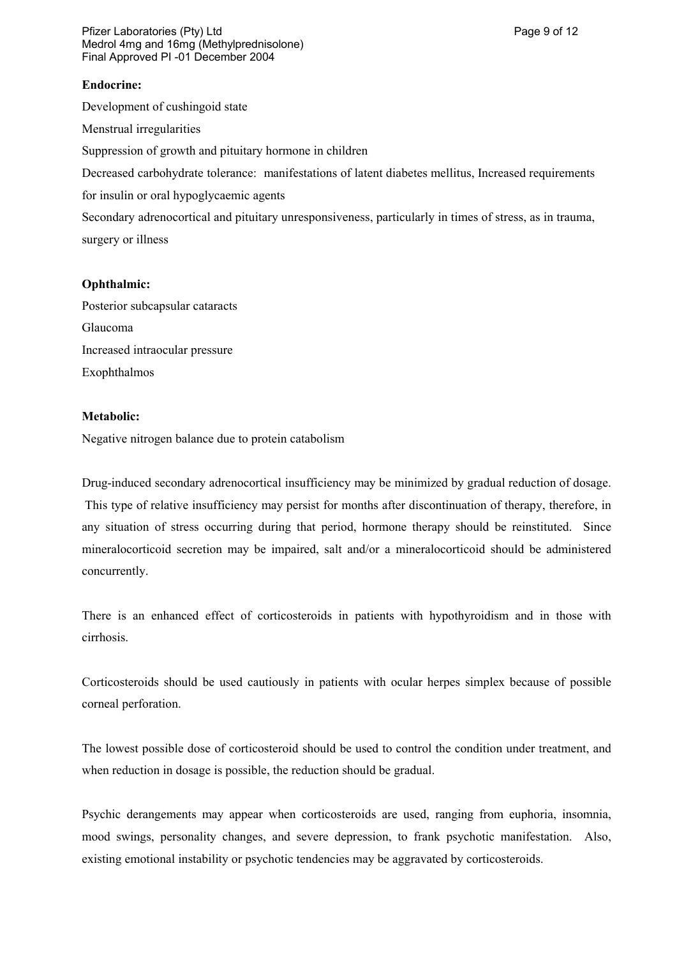Pfizer Laboratories (Pty) Ltd **Philosopheratories** (Pty) Ltd **Page 9 of 12** Medrol 4mg and 16mg (Methylprednisolone) Final Approved PI -01 December 2004

### **Endocrine:**

Development of cushingoid state

Menstrual irregularities

Suppression of growth and pituitary hormone in children

Decreased carbohydrate tolerance: manifestations of latent diabetes mellitus, Increased requirements

for insulin or oral hypoglycaemic agents

Secondary adrenocortical and pituitary unresponsiveness, particularly in times of stress, as in trauma, surgery or illness

### **Ophthalmic:**

Posterior subcapsular cataracts Glaucoma Increased intraocular pressure Exophthalmos

### **Metabolic:**

Negative nitrogen balance due to protein catabolism

Drug-induced secondary adrenocortical insufficiency may be minimized by gradual reduction of dosage. This type of relative insufficiency may persist for months after discontinuation of therapy, therefore, in any situation of stress occurring during that period, hormone therapy should be reinstituted. Since mineralocorticoid secretion may be impaired, salt and/or a mineralocorticoid should be administered concurrently.

There is an enhanced effect of corticosteroids in patients with hypothyroidism and in those with cirrhosis.

Corticosteroids should be used cautiously in patients with ocular herpes simplex because of possible corneal perforation.

The lowest possible dose of corticosteroid should be used to control the condition under treatment, and when reduction in dosage is possible, the reduction should be gradual.

Psychic derangements may appear when corticosteroids are used, ranging from euphoria, insomnia, mood swings, personality changes, and severe depression, to frank psychotic manifestation. Also, existing emotional instability or psychotic tendencies may be aggravated by corticosteroids.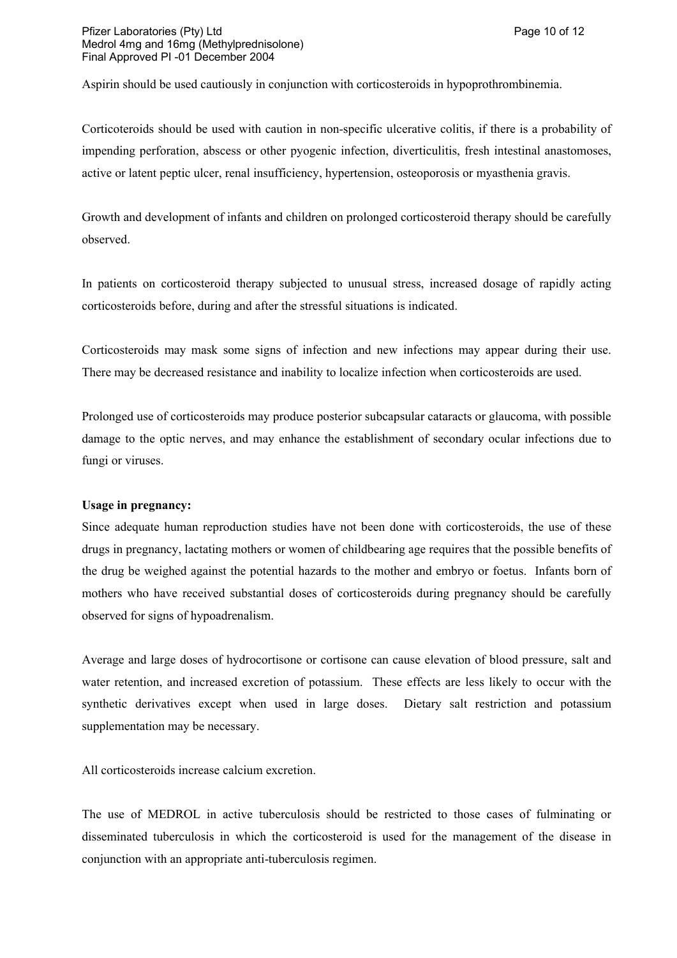Aspirin should be used cautiously in conjunction with corticosteroids in hypoprothrombinemia.

Corticoteroids should be used with caution in non-specific ulcerative colitis, if there is a probability of impending perforation, abscess or other pyogenic infection, diverticulitis, fresh intestinal anastomoses, active or latent peptic ulcer, renal insufficiency, hypertension, osteoporosis or myasthenia gravis.

Growth and development of infants and children on prolonged corticosteroid therapy should be carefully observed.

In patients on corticosteroid therapy subjected to unusual stress, increased dosage of rapidly acting corticosteroids before, during and after the stressful situations is indicated.

Corticosteroids may mask some signs of infection and new infections may appear during their use. There may be decreased resistance and inability to localize infection when corticosteroids are used.

Prolonged use of corticosteroids may produce posterior subcapsular cataracts or glaucoma, with possible damage to the optic nerves, and may enhance the establishment of secondary ocular infections due to fungi or viruses.

#### **Usage in pregnancy:**

Since adequate human reproduction studies have not been done with corticosteroids, the use of these drugs in pregnancy, lactating mothers or women of childbearing age requires that the possible benefits of the drug be weighed against the potential hazards to the mother and embryo or foetus. Infants born of mothers who have received substantial doses of corticosteroids during pregnancy should be carefully observed for signs of hypoadrenalism.

Average and large doses of hydrocortisone or cortisone can cause elevation of blood pressure, salt and water retention, and increased excretion of potassium. These effects are less likely to occur with the synthetic derivatives except when used in large doses. Dietary salt restriction and potassium supplementation may be necessary.

All corticosteroids increase calcium excretion.

The use of MEDROL in active tuberculosis should be restricted to those cases of fulminating or disseminated tuberculosis in which the corticosteroid is used for the management of the disease in conjunction with an appropriate anti-tuberculosis regimen.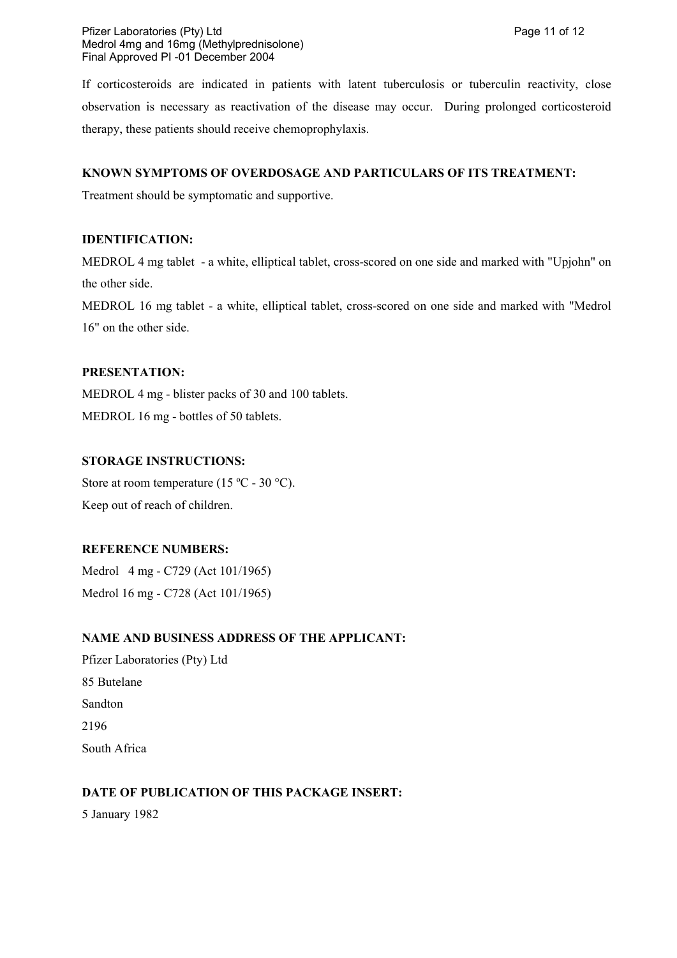If corticosteroids are indicated in patients with latent tuberculosis or tuberculin reactivity, close observation is necessary as reactivation of the disease may occur. During prolonged corticosteroid therapy, these patients should receive chemoprophylaxis.

# **KNOWN SYMPTOMS OF OVERDOSAGE AND PARTICULARS OF ITS TREATMENT:**

Treatment should be symptomatic and supportive.

### **IDENTIFICATION:**

MEDROL 4 mg tablet- a white, elliptical tablet, cross-scored on one side and marked with "Upjohn" on the other side.

MEDROL 16 mg tablet - a white, elliptical tablet, cross-scored on one side and marked with "Medrol 16" on the other side.

# **PRESENTATION:**

MEDROL 4 mg - blister packs of 30 and 100 tablets. MEDROL 16 mg - bottles of 50 tablets.

### **STORAGE INSTRUCTIONS:**

Store at room temperature (15 °C - 30 °C). Keep out of reach of children.

# **REFERENCE NUMBERS:**

Medrol 4 mg - C729 (Act 101/1965) Medrol 16 mg - C728 (Act 101/1965)

# **NAME AND BUSINESS ADDRESS OF THE APPLICANT:**

Pfizer Laboratories (Pty) Ltd 85 Butelane Sandton 2196 South Africa

# **DATE OF PUBLICATION OF THIS PACKAGE INSERT:**

5 January 1982